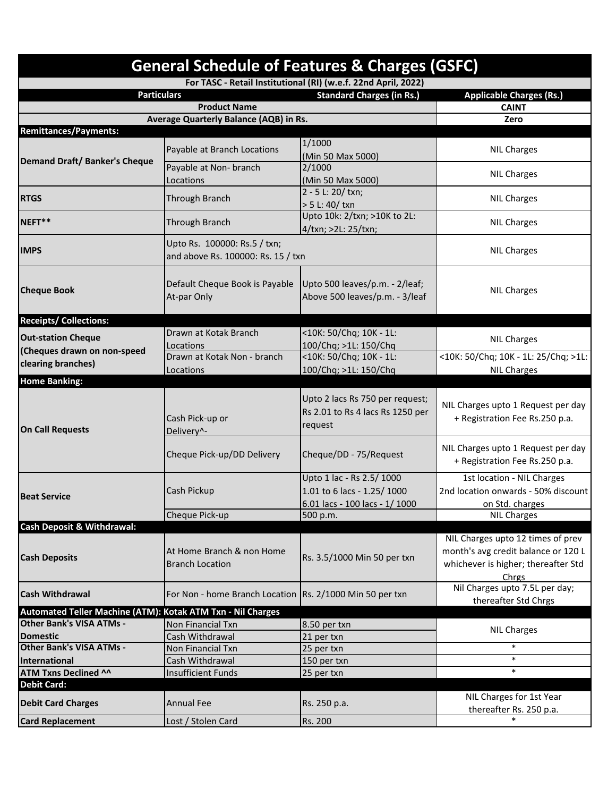| <b>General Schedule of Features &amp; Charges (GSFC)</b><br>For TASC - Retail Institutional (RI) (w.e.f. 22nd April, 2022) |                                                                    |                                                                                           |                                                                                                                          |  |  |  |
|----------------------------------------------------------------------------------------------------------------------------|--------------------------------------------------------------------|-------------------------------------------------------------------------------------------|--------------------------------------------------------------------------------------------------------------------------|--|--|--|
|                                                                                                                            |                                                                    |                                                                                           |                                                                                                                          |  |  |  |
|                                                                                                                            | <b>Product Name</b>                                                |                                                                                           | <b>CAINT</b>                                                                                                             |  |  |  |
| Average Quarterly Balance (AQB) in Rs.                                                                                     |                                                                    |                                                                                           | Zero                                                                                                                     |  |  |  |
| <b>Remittances/Payments:</b>                                                                                               |                                                                    |                                                                                           |                                                                                                                          |  |  |  |
| <b>Demand Draft/ Banker's Cheque</b>                                                                                       | Payable at Branch Locations                                        | 1/1000<br>(Min 50 Max 5000)                                                               | <b>NIL Charges</b>                                                                                                       |  |  |  |
|                                                                                                                            | Payable at Non- branch<br>Locations                                | 2/1000<br>(Min 50 Max 5000)                                                               | <b>NIL Charges</b>                                                                                                       |  |  |  |
| <b>RTGS</b>                                                                                                                | <b>Through Branch</b>                                              | 2 - 5 L: 20/ txn;<br>> 5 L: 40/ txn                                                       | <b>NIL Charges</b>                                                                                                       |  |  |  |
| NEFT**                                                                                                                     | <b>Through Branch</b>                                              | Upto 10k: 2/txn; >10K to 2L:<br>4/txn; >2L: 25/txn;                                       | <b>NIL Charges</b>                                                                                                       |  |  |  |
| <b>IMPS</b>                                                                                                                | Upto Rs. 100000: Rs.5 / txn;<br>and above Rs. 100000: Rs. 15 / txn |                                                                                           | <b>NIL Charges</b>                                                                                                       |  |  |  |
| <b>Cheque Book</b>                                                                                                         | Default Cheque Book is Payable<br>At-par Only                      | Upto 500 leaves/p.m. - 2/leaf;<br>Above 500 leaves/p.m. - 3/leaf                          | <b>NIL Charges</b>                                                                                                       |  |  |  |
| <b>Receipts/ Collections:</b>                                                                                              |                                                                    |                                                                                           |                                                                                                                          |  |  |  |
| <b>Out-station Cheque</b>                                                                                                  | Drawn at Kotak Branch<br>Locations                                 | <10K: 50/Chq; 10K - 1L:<br>100/Chq; >1L: 150/Chq                                          | <b>NIL Charges</b>                                                                                                       |  |  |  |
| (Cheques drawn on non-speed<br>clearing branches)                                                                          | Drawn at Kotak Non - branch<br>Locations                           | <10K: 50/Chq; 10K - 1L:<br>100/Chq; >1L: 150/Chq                                          | <10K: 50/Chq; 10K - 1L: 25/Chq; >1L:<br><b>NIL Charges</b>                                                               |  |  |  |
| <b>Home Banking:</b>                                                                                                       |                                                                    |                                                                                           |                                                                                                                          |  |  |  |
| <b>On Call Requests</b>                                                                                                    | Cash Pick-up or<br>Delivery^-                                      | Upto 2 lacs Rs 750 per request;<br>Rs 2.01 to Rs 4 lacs Rs 1250 per<br>request            | NIL Charges upto 1 Request per day<br>+ Registration Fee Rs.250 p.a.                                                     |  |  |  |
|                                                                                                                            | Cheque Pick-up/DD Delivery                                         | Cheque/DD - 75/Request                                                                    | NIL Charges upto 1 Request per day<br>+ Registration Fee Rs.250 p.a.                                                     |  |  |  |
| <b>Beat Service</b>                                                                                                        | Cash Pickup                                                        | Upto 1 lac - Rs 2.5/1000<br>1.01 to 6 lacs - 1.25/ 1000<br>6.01 lacs - 100 lacs - 1/ 1000 | 1st location - NIL Charges<br>2nd location onwards - 50% discount<br>on Std. charges                                     |  |  |  |
| <b>Cash Deposit &amp; Withdrawal:</b>                                                                                      | Cheque Pick-up                                                     | 500 p.m.                                                                                  | <b>NIL Charges</b>                                                                                                       |  |  |  |
| <b>Cash Deposits</b>                                                                                                       | At Home Branch & non Home<br><b>Branch Location</b>                | Rs. 3.5/1000 Min 50 per txn                                                               | NIL Charges upto 12 times of prev<br>month's avg credit balance or 120 L<br>whichever is higher; thereafter Std<br>Chrgs |  |  |  |
| <b>Cash Withdrawal</b>                                                                                                     | For Non - home Branch Location Rs. 2/1000 Min 50 per txn           |                                                                                           | Nil Charges upto 7.5L per day;<br>thereafter Std Chrgs                                                                   |  |  |  |
| Automated Teller Machine (ATM): Kotak ATM Txn - Nil Charges                                                                |                                                                    |                                                                                           |                                                                                                                          |  |  |  |
| <b>Other Bank's VISA ATMs -</b>                                                                                            | Non Financial Txn                                                  | 8.50 per txn                                                                              | <b>NIL Charges</b>                                                                                                       |  |  |  |
| <b>Domestic</b>                                                                                                            | Cash Withdrawal                                                    | 21 per txn                                                                                |                                                                                                                          |  |  |  |
| <b>Other Bank's VISA ATMs -</b>                                                                                            | Non Financial Txn                                                  | 25 per txn                                                                                | ∗                                                                                                                        |  |  |  |
| International                                                                                                              | Cash Withdrawal                                                    | 150 per txn                                                                               | $\ast$                                                                                                                   |  |  |  |
| <b>ATM Txns Declined ^^</b>                                                                                                | <b>Insufficient Funds</b>                                          | 25 per txn                                                                                | $\ast$                                                                                                                   |  |  |  |
| <b>Debit Card:</b><br><b>Debit Card Charges</b>                                                                            | <b>Annual Fee</b>                                                  | Rs. 250 p.a.                                                                              | NIL Charges for 1st Year                                                                                                 |  |  |  |
| <b>Card Replacement</b>                                                                                                    | Lost / Stolen Card                                                 | Rs. 200                                                                                   | thereafter Rs. 250 p.a.                                                                                                  |  |  |  |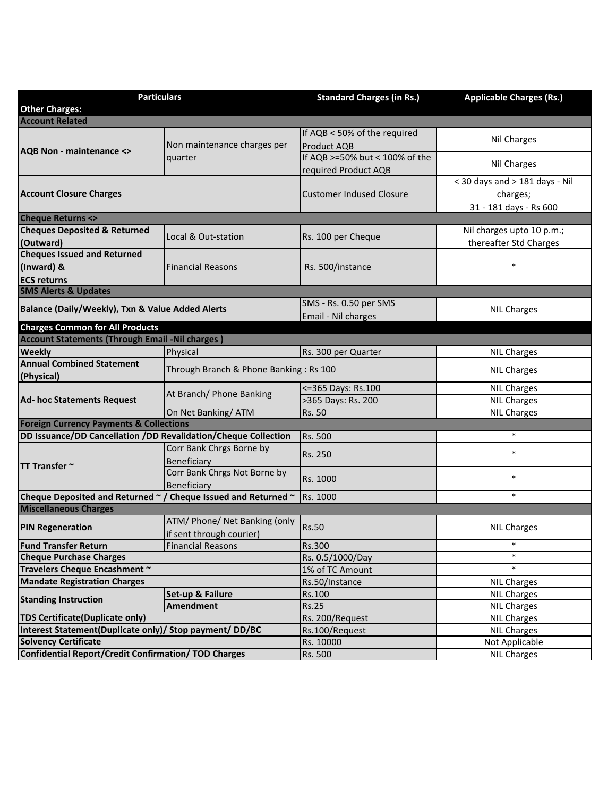| <b>Particulars</b>                                             |                                        | <b>Standard Charges (in Rs.)</b> | <b>Applicable Charges (Rs.)</b> |  |  |  |
|----------------------------------------------------------------|----------------------------------------|----------------------------------|---------------------------------|--|--|--|
| <b>Other Charges:</b>                                          |                                        |                                  |                                 |  |  |  |
| <b>Account Related</b>                                         |                                        |                                  |                                 |  |  |  |
|                                                                | Non maintenance charges per<br>quarter | If AQB < 50% of the required     |                                 |  |  |  |
|                                                                |                                        | Product AQB                      | Nil Charges                     |  |  |  |
| <b>AQB Non - maintenance &lt;&gt;</b>                          |                                        | If AQB >=50% but < 100% of the   |                                 |  |  |  |
|                                                                |                                        | required Product AQB             | Nil Charges                     |  |  |  |
|                                                                |                                        |                                  | < 30 days and > 181 days - Nil  |  |  |  |
| <b>Account Closure Charges</b>                                 |                                        | <b>Customer Indused Closure</b>  | charges;                        |  |  |  |
|                                                                |                                        |                                  | 31 - 181 days - Rs 600          |  |  |  |
| <b>Cheque Returns &lt;&gt;</b>                                 |                                        |                                  |                                 |  |  |  |
| <b>Cheques Deposited &amp; Returned</b>                        |                                        |                                  | Nil charges upto 10 p.m.;       |  |  |  |
| (Outward)                                                      | Local & Out-station                    | Rs. 100 per Cheque               | thereafter Std Charges          |  |  |  |
| <b>Cheques Issued and Returned</b>                             |                                        |                                  |                                 |  |  |  |
| (Inward) &                                                     | <b>Financial Reasons</b>               | Rs. 500/instance                 |                                 |  |  |  |
| <b>ECS returns</b>                                             |                                        |                                  |                                 |  |  |  |
| <b>SMS Alerts &amp; Updates</b>                                |                                        |                                  |                                 |  |  |  |
|                                                                |                                        | SMS - Rs. 0.50 per SMS           |                                 |  |  |  |
| Balance (Daily/Weekly), Txn & Value Added Alerts               |                                        | Email - Nil charges              | <b>NIL Charges</b>              |  |  |  |
| <b>Charges Common for All Products</b>                         |                                        |                                  |                                 |  |  |  |
| <b>Account Statements (Through Email -Nil charges)</b>         |                                        |                                  |                                 |  |  |  |
| <b>Weekly</b>                                                  | Physical                               | Rs. 300 per Quarter              | <b>NIL Charges</b>              |  |  |  |
| <b>Annual Combined Statement</b>                               |                                        |                                  |                                 |  |  |  |
| (Physical)                                                     | Through Branch & Phone Banking: Rs 100 |                                  | <b>NIL Charges</b>              |  |  |  |
|                                                                | At Branch/ Phone Banking               | <= 365 Days: Rs. 100             | <b>NIL Charges</b>              |  |  |  |
| Ad- hoc Statements Request                                     |                                        | >365 Days: Rs. 200               | <b>NIL Charges</b>              |  |  |  |
|                                                                | On Net Banking/ATM                     | Rs. 50                           | <b>NIL Charges</b>              |  |  |  |
| <b>Foreign Currency Payments &amp; Collections</b>             |                                        |                                  |                                 |  |  |  |
| DD Issuance/DD Cancellation /DD Revalidation/Cheque Collection |                                        | Rs. 500                          | $\ast$                          |  |  |  |
| <b>TT Transfer ~</b>                                           | Corr Bank Chrgs Borne by               | Rs. 250                          | $\ast$                          |  |  |  |
|                                                                | Beneficiary                            |                                  |                                 |  |  |  |
|                                                                | Corr Bank Chrgs Not Borne by           |                                  | $\ast$                          |  |  |  |
|                                                                | Beneficiary                            | Rs. 1000                         |                                 |  |  |  |
| Cheque Deposited and Returned ~ / Cheque Issued and Returned ~ |                                        | Rs. 1000                         | $\ast$                          |  |  |  |
| <b>Miscellaneous Charges</b>                                   |                                        |                                  |                                 |  |  |  |
| <b>PIN Regeneration</b>                                        | ATM/ Phone/ Net Banking (only          |                                  |                                 |  |  |  |
|                                                                | if sent through courier)               | <b>Rs.50</b>                     | <b>NIL Charges</b>              |  |  |  |
| <b>Fund Transfer Return</b>                                    | <b>Financial Reasons</b>               | Rs.300                           | $\ast$                          |  |  |  |
| <b>Cheque Purchase Charges</b>                                 |                                        | Rs. 0.5/1000/Day                 | $\ast$                          |  |  |  |
| Travelers Cheque Encashment ~                                  |                                        | 1% of TC Amount                  | $\ast$                          |  |  |  |
| <b>Mandate Registration Charges</b>                            |                                        | Rs.50/Instance                   | <b>NIL Charges</b>              |  |  |  |
| <b>Standing Instruction</b>                                    | Set-up & Failure                       | Rs.100                           | <b>NIL Charges</b>              |  |  |  |
|                                                                | <b>Amendment</b>                       | <b>Rs.25</b>                     | <b>NIL Charges</b>              |  |  |  |
| <b>TDS Certificate (Duplicate only)</b>                        |                                        | Rs. 200/Request                  | <b>NIL Charges</b>              |  |  |  |
| Interest Statement(Duplicate only)/ Stop payment/ DD/BC        |                                        | Rs.100/Request                   | <b>NIL Charges</b>              |  |  |  |
| <b>Solvency Certificate</b>                                    |                                        | Rs. 10000                        | Not Applicable                  |  |  |  |
| <b>Confidential Report/Credit Confirmation/TOD Charges</b>     |                                        | Rs. 500                          | <b>NIL Charges</b>              |  |  |  |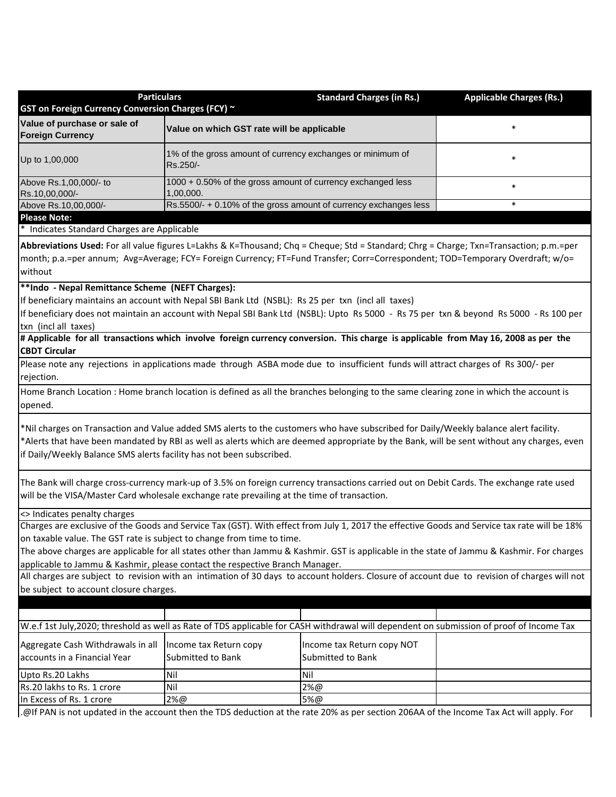| <b>Particulars</b><br>GST on Foreign Currency Conversion Charges (FCY) ~                                                                                                                                                                                                                                                                                  |                                                                          | <b>Standard Charges (in Rs.)</b>                | <b>Applicable Charges (Rs.)</b>                                                                                                              |  |  |  |
|-----------------------------------------------------------------------------------------------------------------------------------------------------------------------------------------------------------------------------------------------------------------------------------------------------------------------------------------------------------|--------------------------------------------------------------------------|-------------------------------------------------|----------------------------------------------------------------------------------------------------------------------------------------------|--|--|--|
| Value of purchase or sale of<br><b>Foreign Currency</b>                                                                                                                                                                                                                                                                                                   | $\ast$<br>Value on which GST rate will be applicable                     |                                                 |                                                                                                                                              |  |  |  |
| Up to 1,00,000                                                                                                                                                                                                                                                                                                                                            | 1% of the gross amount of currency exchanges or minimum of<br>Rs.250/-   | $\ast$                                          |                                                                                                                                              |  |  |  |
| Above Rs.1,00,000/- to<br>Rs.10,00,000/-                                                                                                                                                                                                                                                                                                                  | 1000 + 0.50% of the gross amount of currency exchanged less<br>1,00,000. | $\ast$                                          |                                                                                                                                              |  |  |  |
| Above Rs.10,00,000/-                                                                                                                                                                                                                                                                                                                                      | Rs.5500/- + 0.10% of the gross amount of currency exchanges less<br>*    |                                                 |                                                                                                                                              |  |  |  |
| <b>Please Note:</b>                                                                                                                                                                                                                                                                                                                                       |                                                                          |                                                 |                                                                                                                                              |  |  |  |
| * Indicates Standard Charges are Applicable                                                                                                                                                                                                                                                                                                               |                                                                          |                                                 |                                                                                                                                              |  |  |  |
| Abbreviations Used: For all value figures L=Lakhs & K=Thousand; Chq = Cheque; Std = Standard; Chrg = Charge; Txn=Transaction; p.m.=per<br>month; p.a.=per annum; Avg=Average; FCY= Foreign Currency; FT=Fund Transfer; Corr=Correspondent; TOD=Temporary Overdraft; w/o=<br>without                                                                       |                                                                          |                                                 |                                                                                                                                              |  |  |  |
| **Indo - Nepal Remittance Scheme (NEFT Charges):                                                                                                                                                                                                                                                                                                          |                                                                          |                                                 |                                                                                                                                              |  |  |  |
| If beneficiary maintains an account with Nepal SBI Bank Ltd (NSBL): Rs 25 per txn (incl all taxes)<br>If beneficiary does not maintain an account with Nepal SBI Bank Ltd (NSBL): Upto Rs 5000 - Rs 75 per txn & beyond Rs 5000 - Rs 100 per<br>txn (incl all taxes)                                                                                      |                                                                          |                                                 |                                                                                                                                              |  |  |  |
| # Applicable for all transactions which involve foreign currency conversion. This charge is applicable from May 16, 2008 as per the<br><b>CBDT Circular</b>                                                                                                                                                                                               |                                                                          |                                                 |                                                                                                                                              |  |  |  |
| Please note any rejections in applications made through ASBA mode due to insufficient funds will attract charges of Rs 300/- per<br>rejection.                                                                                                                                                                                                            |                                                                          |                                                 |                                                                                                                                              |  |  |  |
| Home Branch Location : Home branch location is defined as all the branches belonging to the same clearing zone in which the account is<br>opened.                                                                                                                                                                                                         |                                                                          |                                                 |                                                                                                                                              |  |  |  |
| *Nil charges on Transaction and Value added SMS alerts to the customers who have subscribed for Daily/Weekly balance alert facility.<br>*Alerts that have been mandated by RBI as well as alerts which are deemed appropriate by the Bank, will be sent without any charges, even<br>if Daily/Weekly Balance SMS alerts facility has not been subscribed. |                                                                          |                                                 |                                                                                                                                              |  |  |  |
| The Bank will charge cross-currency mark-up of 3.5% on foreign currency transactions carried out on Debit Cards. The exchange rate used<br>will be the VISA/Master Card wholesale exchange rate prevailing at the time of transaction.                                                                                                                    |                                                                          |                                                 |                                                                                                                                              |  |  |  |
| <> Indicates penalty charges                                                                                                                                                                                                                                                                                                                              |                                                                          |                                                 |                                                                                                                                              |  |  |  |
|                                                                                                                                                                                                                                                                                                                                                           |                                                                          |                                                 | Charges are exclusive of the Goods and Service Tax (GST). With effect from July 1, 2017 the effective Goods and Service tax rate will be 18% |  |  |  |
| on taxable value. The GST rate is subject to change from time to time.                                                                                                                                                                                                                                                                                    |                                                                          |                                                 |                                                                                                                                              |  |  |  |
| The above charges are applicable for all states other than Jammu & Kashmir. GST is applicable in the state of Jammu & Kashmir. For charges                                                                                                                                                                                                                |                                                                          |                                                 |                                                                                                                                              |  |  |  |
| applicable to Jammu & Kashmir, please contact the respective Branch Manager.                                                                                                                                                                                                                                                                              |                                                                          |                                                 |                                                                                                                                              |  |  |  |
| All charges are subject to revision with an intimation of 30 days to account holders. Closure of account due to revision of charges will not                                                                                                                                                                                                              |                                                                          |                                                 |                                                                                                                                              |  |  |  |
| be subject to account closure charges.                                                                                                                                                                                                                                                                                                                    |                                                                          |                                                 |                                                                                                                                              |  |  |  |
|                                                                                                                                                                                                                                                                                                                                                           |                                                                          |                                                 |                                                                                                                                              |  |  |  |
| W.e.f 1st July, 2020; threshold as well as Rate of TDS applicable for CASH withdrawal will dependent on submission of proof of Income Tax                                                                                                                                                                                                                 |                                                                          |                                                 |                                                                                                                                              |  |  |  |
|                                                                                                                                                                                                                                                                                                                                                           |                                                                          |                                                 |                                                                                                                                              |  |  |  |
| Aggregate Cash Withdrawals in all<br>accounts in a Financial Year                                                                                                                                                                                                                                                                                         | Income tax Return copy<br><b>Submitted to Bank</b>                       | Income tax Return copy NOT<br>Submitted to Bank |                                                                                                                                              |  |  |  |
| Upto Rs.20 Lakhs                                                                                                                                                                                                                                                                                                                                          | Nil                                                                      | Nil                                             |                                                                                                                                              |  |  |  |
| Rs.20 lakhs to Rs. 1 crore                                                                                                                                                                                                                                                                                                                                | Nil                                                                      | 2%@                                             |                                                                                                                                              |  |  |  |
| In Excess of Rs. 1 crore                                                                                                                                                                                                                                                                                                                                  | 2%@                                                                      | 5%@                                             |                                                                                                                                              |  |  |  |
| .@If PAN is not updated in the account then the TDS deduction at the rate 20% as per section 206AA of the Income Tax Act will apply. For                                                                                                                                                                                                                  |                                                                          |                                                 |                                                                                                                                              |  |  |  |